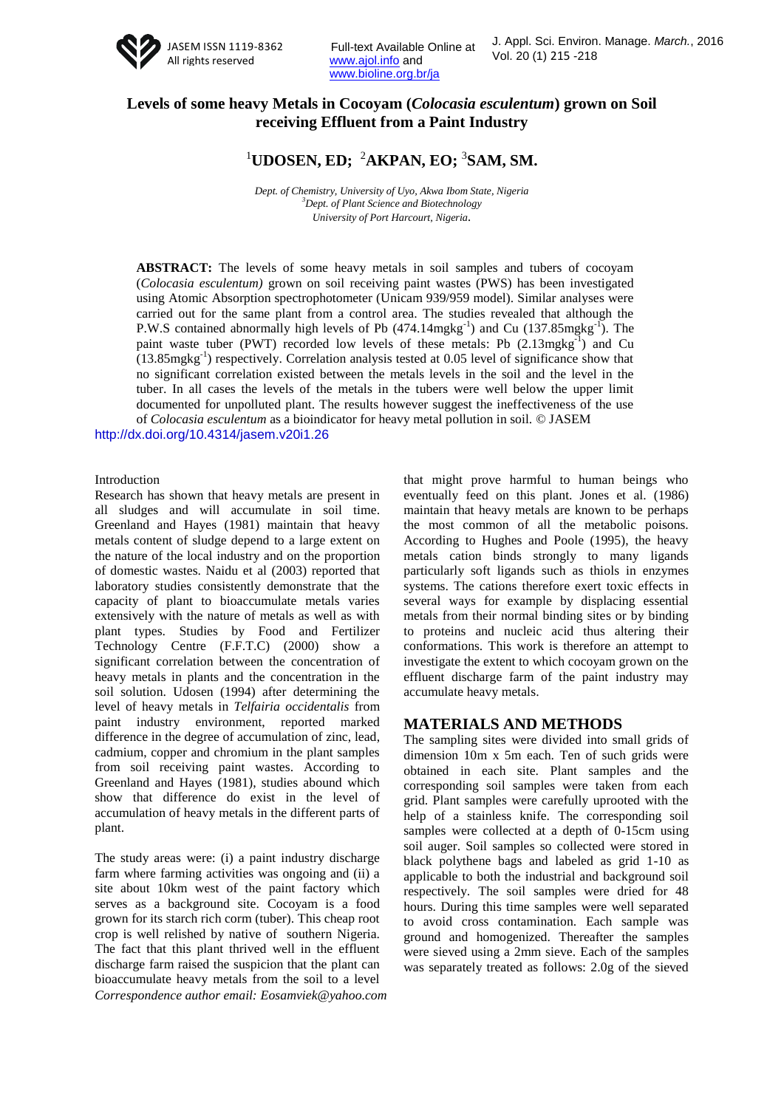

Full-text Available Online at www.ajol.info and www.bioline.org.br/ja

# **Levels of some heavy Metals in Cocoyam (***Colocasia esculentum***) grown on Soil receiving Effluent from a Paint Industry**

# <sup>1</sup>UDOSEN, ED; <sup>2</sup>AKPAN, EO; <sup>3</sup>SAM, SM.

*Dept. of Chemistry, University of Uyo, Akwa Ibom State, Nigeria <sup>3</sup>Dept. of Plant Science and Biotechnology University of Port Harcourt, Nigeria.*

**ABSTRACT:** The levels of some heavy metals in soil samples and tubers of cocoyam (*Colocasia esculentum)* grown on soil receiving paint wastes (PWS) has been investigated using Atomic Absorption spectrophotometer (Unicam 939/959 model). Similar analyses were carried out for the same plant from a control area. The studies revealed that although the P.W.S contained abnormally high levels of Pb  $(474.14 \text{mgkg}^{-1})$  and Cu  $(137.85 \text{mgkg}^{-1})$ . The paint waste tuber (PWT) recorded low levels of these metals: Pb (2.13mgkg<sup>-1</sup>) and Cu  $(13.85 \text{mgkg}^{-1})$  respectively. Correlation analysis tested at 0.05 level of significance show that no significant correlation existed between the metals levels in the soil and the level in the tuber. In all cases the levels of the metals in the tubers were well below the upper limit documented for unpolluted plant. The results however suggest the ineffectiveness of the use of *Colocasia esculentum* as a bioindicator for heavy metal pollution in soil. © JASEM

http://dx.doi.org/10.4314/jasem.v20i1.26

#### Introduction

Research has shown that heavy metals are present in all sludges and will accumulate in soil time. Greenland and Hayes (1981) maintain that heavy metals content of sludge depend to a large extent on the nature of the local industry and on the proportion of domestic wastes. Naidu et al (2003) reported that laboratory studies consistently demonstrate that the capacity of plant to bioaccumulate metals varies extensively with the nature of metals as well as with plant types. Studies by Food and Fertilizer Technology Centre (F.F.T.C) (2000) show a significant correlation between the concentration of heavy metals in plants and the concentration in the soil solution. Udosen (1994) after determining the level of heavy metals in *Telfairia occidentalis* from paint industry environment, reported marked difference in the degree of accumulation of zinc, lead, cadmium, copper and chromium in the plant samples from soil receiving paint wastes. According to Greenland and Hayes (1981), studies abound which show that difference do exist in the level of accumulation of heavy metals in the different parts of plant.

*Correspondence author email: Eosamviek@yahoo.com* The study areas were: (i) a paint industry discharge farm where farming activities was ongoing and (ii) a site about 10km west of the paint factory which serves as a background site. Cocoyam is a food grown for its starch rich corm (tuber). This cheap root crop is well relished by native of southern Nigeria. The fact that this plant thrived well in the effluent discharge farm raised the suspicion that the plant can bioaccumulate heavy metals from the soil to a level

that might prove harmful to human beings who eventually feed on this plant. Jones et al. (1986) maintain that heavy metals are known to be perhaps the most common of all the metabolic poisons. According to Hughes and Poole (1995), the heavy metals cation binds strongly to many ligands particularly soft ligands such as thiols in enzymes systems. The cations therefore exert toxic effects in several ways for example by displacing essential metals from their normal binding sites or by binding to proteins and nucleic acid thus altering their conformations. This work is therefore an attempt to investigate the extent to which cocoyam grown on the effluent discharge farm of the paint industry may accumulate heavy metals.

#### **MATERIALS AND METHODS**

The sampling sites were divided into small grids of dimension 10m x 5m each. Ten of such grids were obtained in each site. Plant samples and the corresponding soil samples were taken from each grid. Plant samples were carefully uprooted with the help of a stainless knife. The corresponding soil samples were collected at a depth of 0-15cm using soil auger. Soil samples so collected were stored in black polythene bags and labeled as grid 1-10 as applicable to both the industrial and background soil respectively. The soil samples were dried for 48 hours. During this time samples were well separated to avoid cross contamination. Each sample was ground and homogenized. Thereafter the samples were sieved using a 2mm sieve. Each of the samples was separately treated as follows: 2.0g of the sieved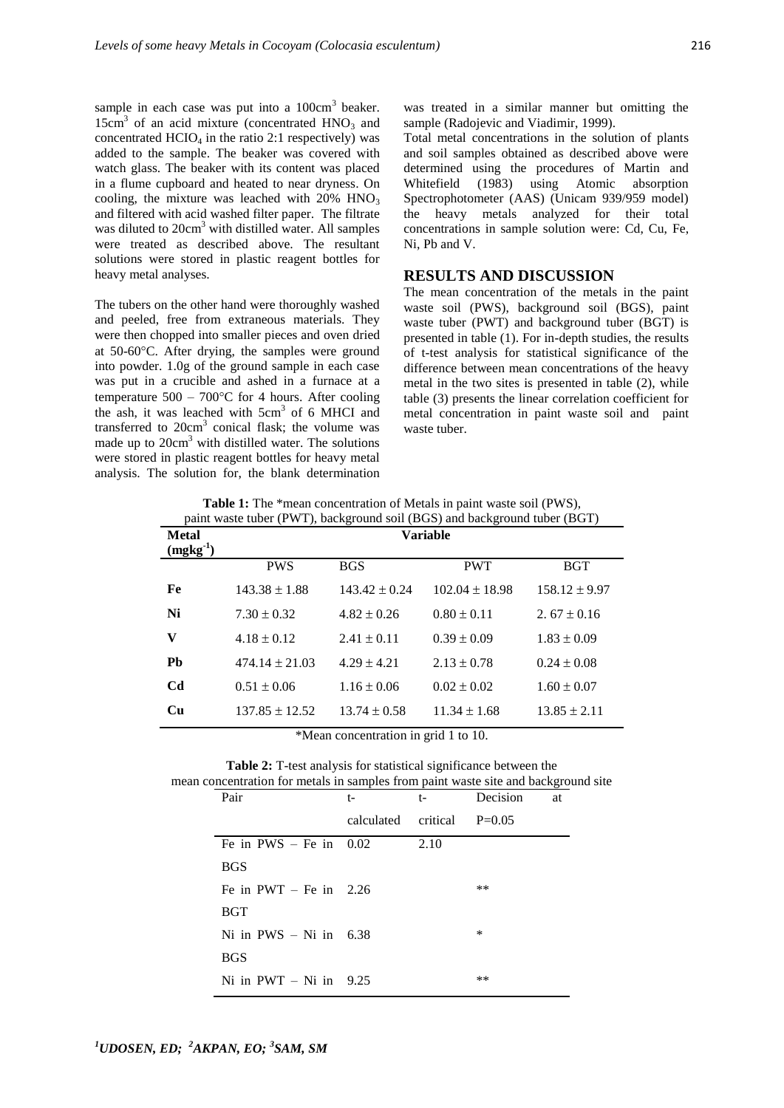sample in each case was put into a  $100 \text{cm}^3$  beaker. 15cm<sup>3</sup> of an acid mixture (concentrated HNO<sub>3</sub> and concentrated  $HClO<sub>4</sub>$  in the ratio 2:1 respectively) was added to the sample. The beaker was covered with watch glass. The beaker with its content was placed in a flume cupboard and heated to near dryness. On cooling, the mixture was leached with  $20\%$  HNO<sub>3</sub> and filtered with acid washed filter paper. The filtrate was diluted to 20cm<sup>3</sup> with distilled water. All samples were treated as described above. The resultant solutions were stored in plastic reagent bottles for heavy metal analyses.

The tubers on the other hand were thoroughly washed and peeled, free from extraneous materials. They were then chopped into smaller pieces and oven dried at 50-60C. After drying, the samples were ground into powder. 1.0g of the ground sample in each case was put in a crucible and ashed in a furnace at a temperature  $500 - 700$ °C for 4 hours. After cooling the ash, it was leached with 5cm<sup>3</sup> of 6 MHCI and transferred to  $20 \text{cm}^3$  conical flask; the volume was made up to  $20 \text{cm}^3$  with distilled water. The solutions were stored in plastic reagent bottles for heavy metal analysis. The solution for, the blank determination

was treated in a similar manner but omitting the sample (Radojevic and Viadimir, 1999).

Total metal concentrations in the solution of plants and soil samples obtained as described above were determined using the procedures of Martin and Whitefield (1983) using Atomic absorption Spectrophotometer (AAS) (Unicam 939/959 model) the heavy metals analyzed for their total concentrations in sample solution were: Cd, Cu, Fe, Ni, Pb and V.

### **RESULTS AND DISCUSSION**

The mean concentration of the metals in the paint waste soil (PWS), background soil (BGS), paint waste tuber (PWT) and background tuber (BGT) is presented in table (1). For in-depth studies, the results of t-test analysis for statistical significance of the difference between mean concentrations of the heavy metal in the two sites is presented in table (2), while table (3) presents the linear correlation coefficient for metal concentration in paint waste soil and paint waste tuber.

**Table 1:** The \*mean concentration of Metals in paint waste soil (PWS), paint waste tuber (PWT), background soil (BGS) and background tuber (BGT)

| <b>Metal</b><br>$(mgkg-1)$ | <b>Variable</b>    |                   |                    |                   |
|----------------------------|--------------------|-------------------|--------------------|-------------------|
|                            | <b>PWS</b>         | <b>BGS</b>        | <b>PWT</b>         | <b>BGT</b>        |
| Fe                         | $143.38 \pm 1.88$  | $143.42 \pm 0.24$ | $102.04 \pm 18.98$ | $158.12 \pm 9.97$ |
| Ni                         | $7.30 \pm 0.32$    | $4.82 \pm 0.26$   | $0.80 \pm 0.11$    | 2.67 $\pm$ 0.16   |
| V                          | $4.18 \pm 0.12$    | $2.41 \pm 0.11$   | $0.39 \pm 0.09$    | $1.83 \pm 0.09$   |
| Pb                         | $474.14 \pm 21.03$ | $4.29 + 4.21$     | $2.13 \pm 0.78$    | $0.24 \pm 0.08$   |
| C <sub>d</sub>             | $0.51 \pm 0.06$    | $1.16 \pm 0.06$   | $0.02 \pm 0.02$    | $1.60 \pm 0.07$   |
| <b>Cu</b>                  | $137.85 \pm 12.52$ | $13.74 \pm 0.58$  | $11.34 \pm 1.68$   | $13.85 \pm 2.11$  |

\*Mean concentration in grid 1 to 10.

**Table 2:** T-test analysis for statistical significance between the mean concentration for metals in samples from paint waste site and background site

| Pair                     | $t-$                | $t-$ | Decision | at |
|--------------------------|---------------------|------|----------|----|
|                          | calculated critical |      | $P=0.05$ |    |
| Fe in $PWS - Fe$ in 0.02 |                     | 2.10 |          |    |
| <b>BGS</b>               |                     |      |          |    |
| Fe in PWT $-$ Fe in 2.26 |                     |      | **       |    |
| <b>BGT</b>               |                     |      |          |    |
| Ni in $PWS - Ni$ in 6.38 |                     |      | $\ast$   |    |
| <b>BGS</b>               |                     |      |          |    |
| Ni in $PWT - Ni$ in 9.25 |                     |      | $***$    |    |
|                          |                     |      |          |    |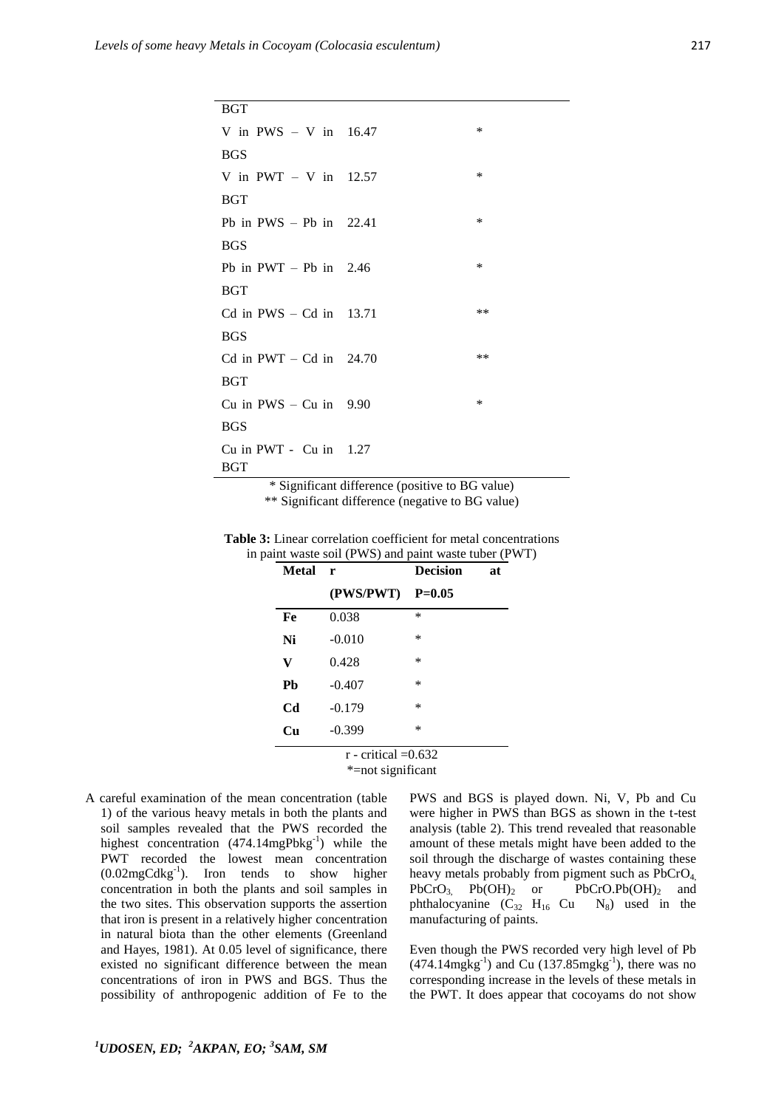| <b>BGT</b>                |        |
|---------------------------|--------|
| V in PWS $-$ V in 16.47   | $\ast$ |
| <b>BGS</b>                |        |
| V in PWT $-$ V in 12.57   | $\ast$ |
| <b>BGT</b>                |        |
| Pb in $PWS - Pb$ in 22.41 | $\ast$ |
| <b>BGS</b>                |        |
| Pb in $PWT - Pb$ in 2.46  | $\ast$ |
| <b>BGT</b>                |        |
| Cd in $PWS - Cd$ in 13.71 | $**$   |
| <b>BGS</b>                |        |
| Cd in $PWT - Cd$ in 24.70 | $***$  |
| <b>BGT</b>                |        |
| Cu in $PWS - Cu$ in 9.90  | $\ast$ |
| <b>BGS</b>                |        |
| Cu in PWT - Cu in $1.27$  |        |
| BGT                       |        |

\* Significant difference (positive to BG value) \*\* Significant difference (negative to BG value)

| <b>Table 3:</b> Linear correlation coefficient for metal concentrations |
|-------------------------------------------------------------------------|
| in paint waste soil (PWS) and paint waste tuber (PWT)                   |

| Metal          | $\mathbf{r}$          | <b>Decision</b> | at |
|----------------|-----------------------|-----------------|----|
|                | (PWS/PWT)             | $P = 0.05$      |    |
| Fe             | 0.038                 | $\ast$          |    |
| Ni             | $-0.010$              | $\ast$          |    |
| V              | 0.428                 | $\ast$          |    |
| Pb             | $-0.407$              | $\ast$          |    |
| C <sub>d</sub> | $-0.179$              | $\ast$          |    |
| Cu             | $-0.399$              | $\ast$          |    |
|                | $\cdots$ 1 0 $\cdots$ |                 |    |

 $r$  - critical  $=0.632$ \*=not significant

A careful examination of the mean concentration (table 1) of the various heavy metals in both the plants and soil samples revealed that the PWS recorded the highest concentration  $(474.14 \text{mgPbkg}^{-1})$  while the PWT recorded the lowest mean concentration  $(0.02 \text{mgC}d\text{kg}^{-1})$ . Iron tends to show higher concentration in both the plants and soil samples in the two sites. This observation supports the assertion that iron is present in a relatively higher concentration in natural biota than the other elements (Greenland and Hayes, 1981). At 0.05 level of significance, there existed no significant difference between the mean concentrations of iron in PWS and BGS. Thus the possibility of anthropogenic addition of Fe to the

PWS and BGS is played down. Ni, V, Pb and Cu were higher in PWS than BGS as shown in the t-test analysis (table 2). This trend revealed that reasonable amount of these metals might have been added to the soil through the discharge of wastes containing these heavy metals probably from pigment such as PbCrO<sub>4</sub>.  $PbCrO_3$   $Pb(OH)_2$  or  $PbCrO.Pb(OH)_2$  and phthalocyanine  $(C_{32} H_{16} Cu N_8)$  used in the manufacturing of paints.

Even though the PWS recorded very high level of Pb  $(474.14 \text{mgkg}^{-1})$  and Cu  $(137.85 \text{mgkg}^{-1})$ , there was no corresponding increase in the levels of these metals in the PWT. It does appear that cocoyams do not show